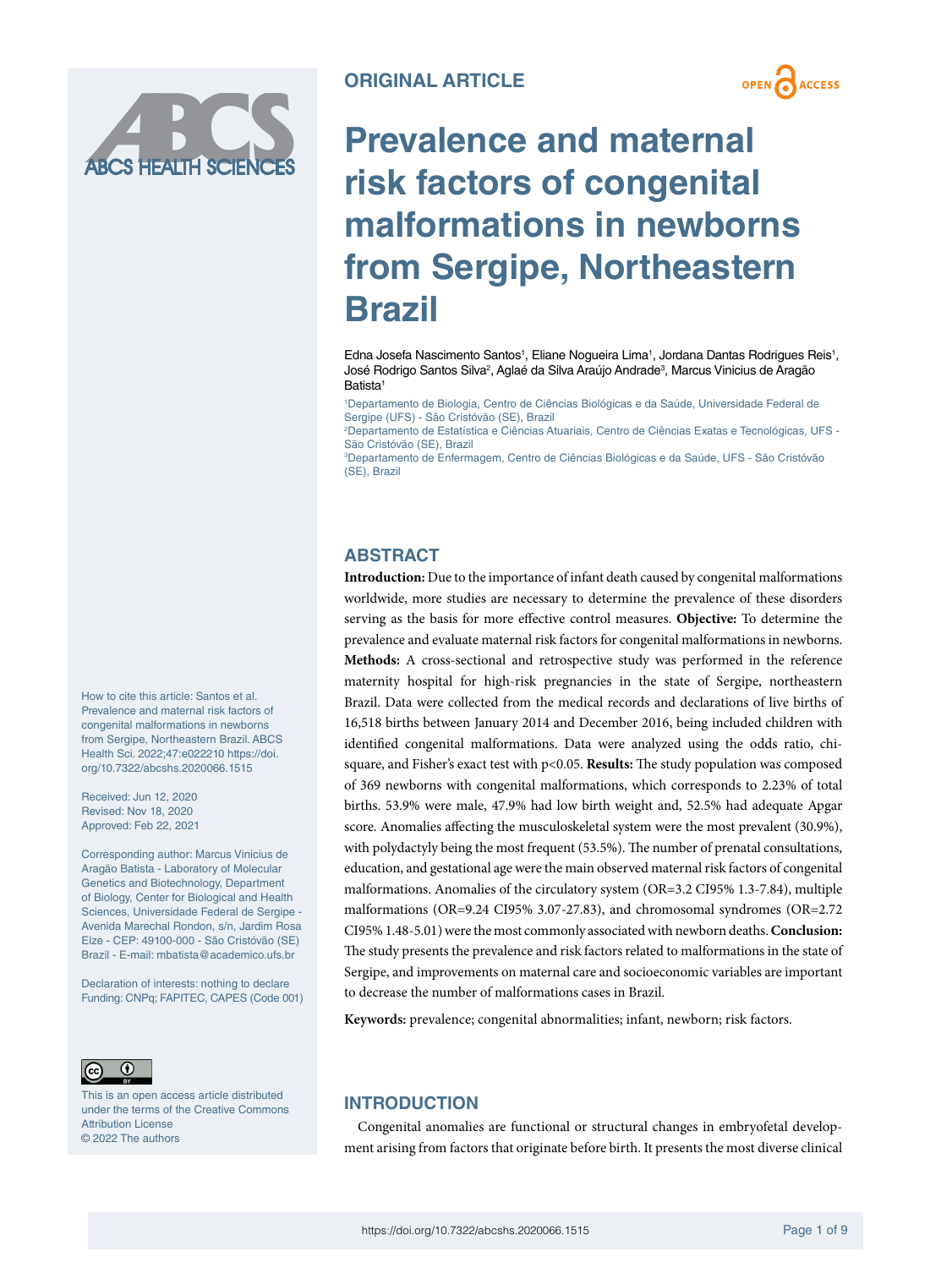



# **Prevalence and maternal risk factors of congenital malformations in newborns from Sergipe, Northeastern Brazil**

Edna Josefa Nascimento Santos<sup>1</sup>, Eliane Nogueira Lima<sup>1</sup>, Jordana Dantas Rodrigues Reis<sup>1</sup>, José Rodrigo Santos Silva², Aglaé da Silva Araújo Andradeª, Marcus Vinicius de Aragão Batista<sup>1</sup>

1 Departamento de Biologia, Centro de Ciências Biológicas e da Saúde, Universidade Federal de Sergipe (UFS) - São Cristóvão (SE), Brazil

2 Departamento de Estatística e Ciências Atuariais, Centro de Ciências Exatas e Tecnológicas, UFS - São Cristóvão (SE), Brazil

3 Departamento de Enfermagem, Centro de Ciências Biológicas e da Saúde, UFS - São Cristóvão (SE), Brazil

## **ABSTRACT**

**Introduction:** Due to the importance of infant death caused by congenital malformations worldwide, more studies are necessary to determine the prevalence of these disorders serving as the basis for more effective control measures. **Objective:** To determine the prevalence and evaluate maternal risk factors for congenital malformations in newborns. **Methods:** A cross-sectional and retrospective study was performed in the reference maternity hospital for high-risk pregnancies in the state of Sergipe, northeastern Brazil. Data were collected from the medical records and declarations of live births of 16,518 births between January 2014 and December 2016, being included children with identified congenital malformations. Data were analyzed using the odds ratio, chisquare, and Fisher's exact test with p<0.05. **Results:** The study population was composed of 369 newborns with congenital malformations, which corresponds to 2.23% of total births. 53.9% were male, 47.9% had low birth weight and, 52.5% had adequate Apgar score. Anomalies affecting the musculoskeletal system were the most prevalent (30.9%), with polydactyly being the most frequent (53.5%). The number of prenatal consultations, education, and gestational age were the main observed maternal risk factors of congenital malformations. Anomalies of the circulatory system (OR=3.2 CI95% 1.3-7.84), multiple malformations (OR=9.24 CI95% 3.07-27.83), and chromosomal syndromes (OR=2.72 CI95% 1.48-5.01) were the most commonly associated with newborn deaths. **Conclusion:** The study presents the prevalence and risk factors related to malformations in the state of Sergipe, and improvements on maternal care and socioeconomic variables are important to decrease the number of malformations cases in Brazil.

**Keywords:** prevalence; congenital abnormalities; infant, newborn; risk factors.

# **INTRODUCTION**

Congenital anomalies are functional or structural changes in embryofetal development arising from factors that originate before birth. It presents the most diverse clinical

How to cite this article: Santos et al. Prevalence and maternal risk factors of congenital malformations in newborns from Sergipe, Northeastern Brazil. ABCS Health Sci. 2022;47:e022210 [https://doi.](https://doi.org/10.7322/abcshs.2020066.1515) [org/10.7322/abcshs.2020066.1515](https://doi.org/10.7322/abcshs.2020066.1515)

Received: Jun 12, 2020 Revised: Nov 18, 2020 Approved: Feb 22, 2021

Corresponding author: Marcus Vinicius de Aragão Batista - Laboratory of Molecular Genetics and Biotechnology, Department of Biology, Center for Biological and Health Sciences, Universidade Federal de Sergipe - Avenida Marechal Rondon, s/n, Jardim Rosa Elze - CEP: 49100-000 - São Cristóvão (SE) Brazil - E-mail: [mbatista@academico.ufs.br](mailto:mbatista@academico.ufs.br)

Declaration of interests: nothing to declare Funding: CNPq; FAPITEC, CAPES (Code 001)



This is an open access article distributed under the terms of the Creative Commons Attribution License © 2022 The authors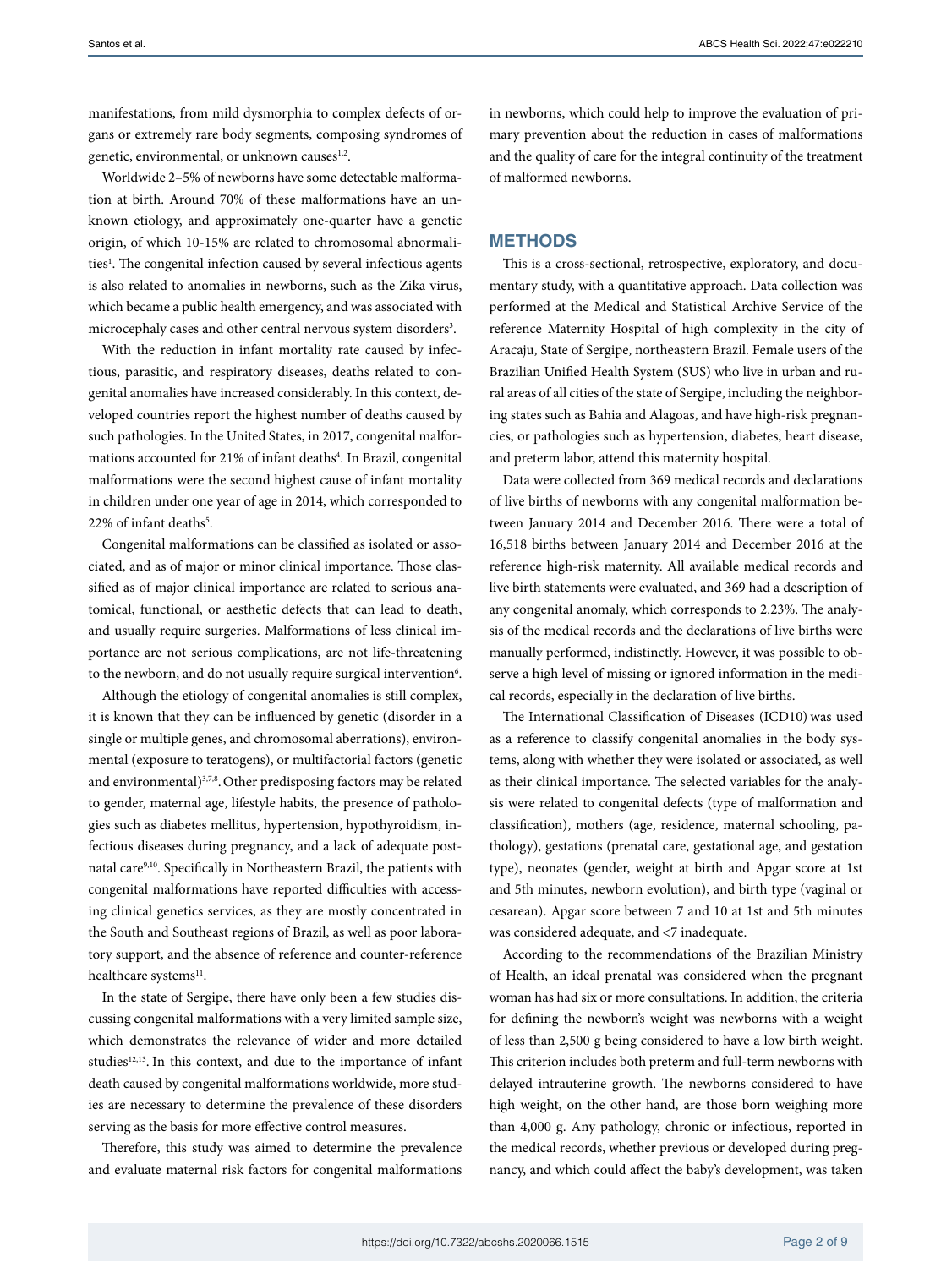manifestations, from mild dysmorphia to complex defects of organs or extremely rare body segments, composing syndromes of genetic, environmental, or unknown causes<sup>1,2</sup>.

Worldwide 2–5% of newborns have some detectable malformation at birth. Around 70% of these malformations have an unknown etiology, and approximately one-quarter have a genetic origin, of which 10-15% are related to chromosomal abnormalities<sup>1</sup>. The congenital infection caused by several infectious agents is also related to anomalies in newborns, such as the Zika virus, which became a public health emergency, and was associated with microcephaly cases and other central nervous system disorders<sup>3</sup>.

With the reduction in infant mortality rate caused by infectious, parasitic, and respiratory diseases, deaths related to congenital anomalies have increased considerably. In this context, developed countries report the highest number of deaths caused by such pathologies. In the United States, in 2017, congenital malformations accounted for 21% of infant deaths<sup>4</sup>. In Brazil, congenital malformations were the second highest cause of infant mortality in children under one year of age in 2014, which corresponded to 22% of infant deaths<sup>5</sup>.

Congenital malformations can be classified as isolated or associated, and as of major or minor clinical importance. Those classified as of major clinical importance are related to serious anatomical, functional, or aesthetic defects that can lead to death, and usually require surgeries. Malformations of less clinical importance are not serious complications, are not life-threatening to the newborn, and do not usually require surgical intervention $^6$ .

Although the etiology of congenital anomalies is still complex, it is known that they can be influenced by genetic (disorder in a single or multiple genes, and chromosomal aberrations), environmental (exposure to teratogens), or multifactorial factors (genetic and environmental)<sup>3,7,8</sup>. Other predisposing factors may be related to gender, maternal age, lifestyle habits, the presence of pathologies such as diabetes mellitus, hypertension, hypothyroidism, infectious diseases during pregnancy, and a lack of adequate postnatal care9,10. Specifically in Northeastern Brazil, the patients with congenital malformations have reported difficulties with accessing clinical genetics services, as they are mostly concentrated in the South and Southeast regions of Brazil, as well as poor laboratory support, and the absence of reference and counter-reference healthcare systems<sup>11</sup>.

In the state of Sergipe, there have only been a few studies discussing congenital malformations with a very limited sample size, which demonstrates the relevance of wider and more detailed studies<sup>12,13</sup>. In this context, and due to the importance of infant death caused by congenital malformations worldwide, more studies are necessary to determine the prevalence of these disorders serving as the basis for more effective control measures.

Therefore, this study was aimed to determine the prevalence and evaluate maternal risk factors for congenital malformations

in newborns, which could help to improve the evaluation of primary prevention about the reduction in cases of malformations and the quality of care for the integral continuity of the treatment of malformed newborns.

#### **METHODS**

This is a cross-sectional, retrospective, exploratory, and documentary study, with a quantitative approach. Data collection was performed at the Medical and Statistical Archive Service of the reference Maternity Hospital of high complexity in the city of Aracaju, State of Sergipe, northeastern Brazil. Female users of the Brazilian Unified Health System (SUS) who live in urban and rural areas of all cities of the state of Sergipe, including the neighboring states such as Bahia and Alagoas, and have high-risk pregnancies, or pathologies such as hypertension, diabetes, heart disease, and preterm labor, attend this maternity hospital.

Data were collected from 369 medical records and declarations of live births of newborns with any congenital malformation between January 2014 and December 2016. There were a total of 16,518 births between January 2014 and December 2016 at the reference high-risk maternity. All available medical records and live birth statements were evaluated, and 369 had a description of any congenital anomaly, which corresponds to 2.23%. The analysis of the medical records and the declarations of live births were manually performed, indistinctly. However, it was possible to observe a high level of missing or ignored information in the medical records, especially in the declaration of live births.

The International Classification of Diseases (ICD10) was used as a reference to classify congenital anomalies in the body systems, along with whether they were isolated or associated, as well as their clinical importance. The selected variables for the analysis were related to congenital defects (type of malformation and classification), mothers (age, residence, maternal schooling, pathology), gestations (prenatal care, gestational age, and gestation type), neonates (gender, weight at birth and Apgar score at 1st and 5th minutes, newborn evolution), and birth type (vaginal or cesarean). Apgar score between 7 and 10 at 1st and 5th minutes was considered adequate, and <7 inadequate.

According to the recommendations of the Brazilian Ministry of Health, an ideal prenatal was considered when the pregnant woman has had six or more consultations. In addition, the criteria for defining the newborn's weight was newborns with a weight of less than 2,500 g being considered to have a low birth weight. This criterion includes both preterm and full-term newborns with delayed intrauterine growth. The newborns considered to have high weight, on the other hand, are those born weighing more than 4,000 g. Any pathology, chronic or infectious, reported in the medical records, whether previous or developed during pregnancy, and which could affect the baby's development, was taken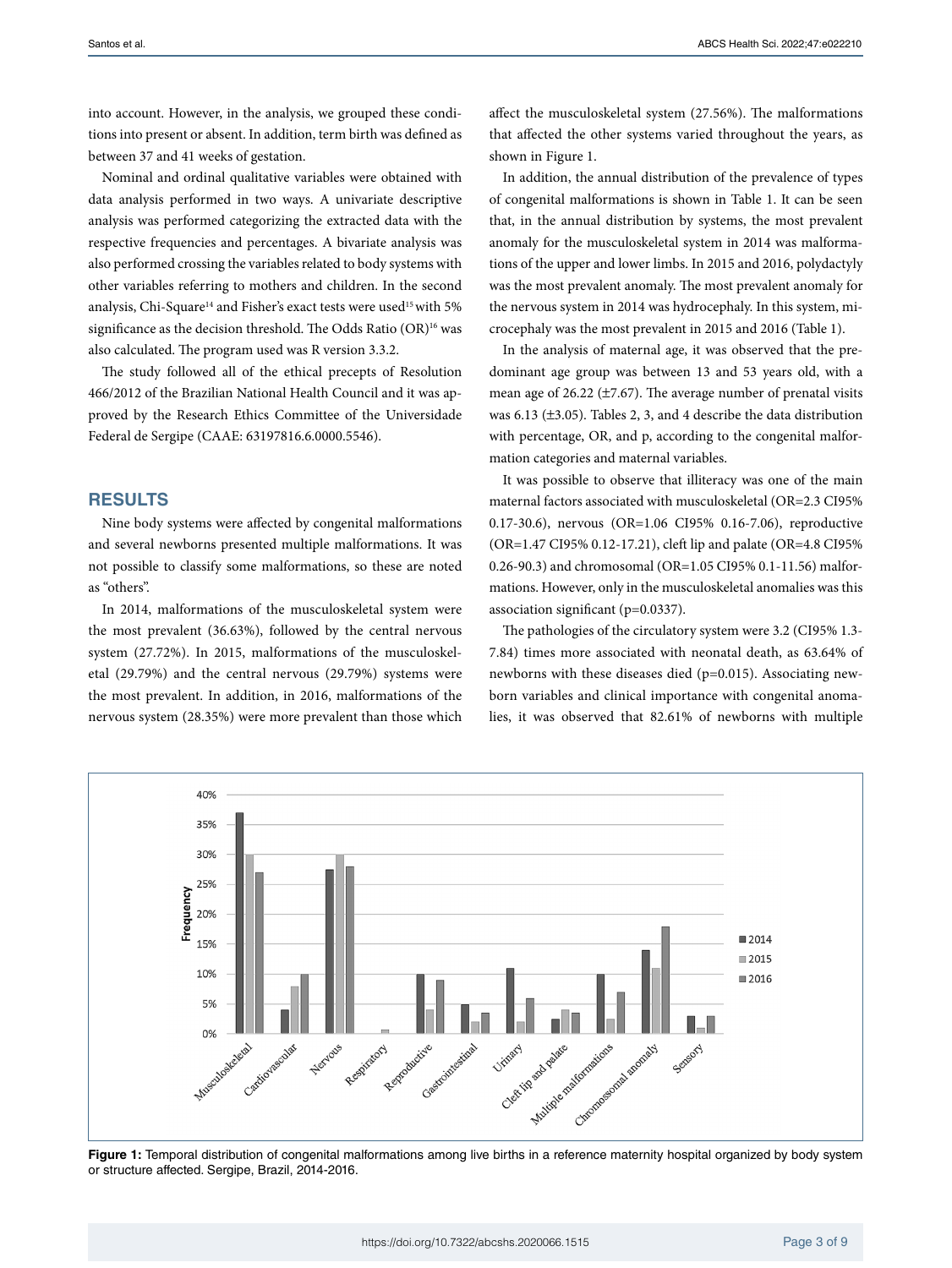into account. However, in the analysis, we grouped these conditions into present or absent. In addition, term birth was defined as between 37 and 41 weeks of gestation.

Nominal and ordinal qualitative variables were obtained with data analysis performed in two ways. A univariate descriptive analysis was performed categorizing the extracted data with the respective frequencies and percentages. A bivariate analysis was also performed crossing the variables related to body systems with other variables referring to mothers and children. In the second analysis, Chi-Square<sup>14</sup> and Fisher's exact tests were used<sup>15</sup> with 5% significance as the decision threshold. The Odds Ratio  $(OR)^{16}$  was also calculated. The program used was R version 3.3.2.

The study followed all of the ethical precepts of Resolution 466/2012 of the Brazilian National Health Council and it was approved by the Research Ethics Committee of the Universidade Federal de Sergipe (CAAE: 63197816.6.0000.5546).

#### **RESULTS**

Nine body systems were affected by congenital malformations and several newborns presented multiple malformations. It was not possible to classify some malformations, so these are noted as "others".

In 2014, malformations of the musculoskeletal system were the most prevalent (36.63%), followed by the central nervous system (27.72%). In 2015, malformations of the musculoskeletal (29.79%) and the central nervous (29.79%) systems were the most prevalent. In addition, in 2016, malformations of the nervous system (28.35%) were more prevalent than those which affect the musculoskeletal system (27.56%). The malformations that affected the other systems varied throughout the years, as shown in Figure 1.

In addition, the annual distribution of the prevalence of types of congenital malformations is shown in Table 1. It can be seen that, in the annual distribution by systems, the most prevalent anomaly for the musculoskeletal system in 2014 was malformations of the upper and lower limbs. In 2015 and 2016, polydactyly was the most prevalent anomaly. The most prevalent anomaly for the nervous system in 2014 was hydrocephaly. In this system, microcephaly was the most prevalent in 2015 and 2016 (Table 1).

In the analysis of maternal age, it was observed that the predominant age group was between 13 and 53 years old, with a mean age of 26.22 (±7.67). The average number of prenatal visits was 6.13 (±3.05). Tables 2, 3, and 4 describe the data distribution with percentage, OR, and p, according to the congenital malformation categories and maternal variables.

It was possible to observe that illiteracy was one of the main maternal factors associated with musculoskeletal (OR=2.3 CI95% 0.17-30.6), nervous (OR=1.06 CI95% 0.16-7.06), reproductive (OR=1.47 CI95% 0.12-17.21), cleft lip and palate (OR=4.8 CI95% 0.26-90.3) and chromosomal (OR=1.05 CI95% 0.1-11.56) malformations. However, only in the musculoskeletal anomalies was this association significant (p=0.0337).

The pathologies of the circulatory system were 3.2 (CI95% 1.3- 7.84) times more associated with neonatal death, as 63.64% of newborns with these diseases died (p=0.015). Associating newborn variables and clinical importance with congenital anomalies, it was observed that 82.61% of newborns with multiple



Figure 1: Temporal distribution of congenital malformations among live births in a reference maternity hospital organized by body system or structure affected. Sergipe, Brazil, 2014-2016.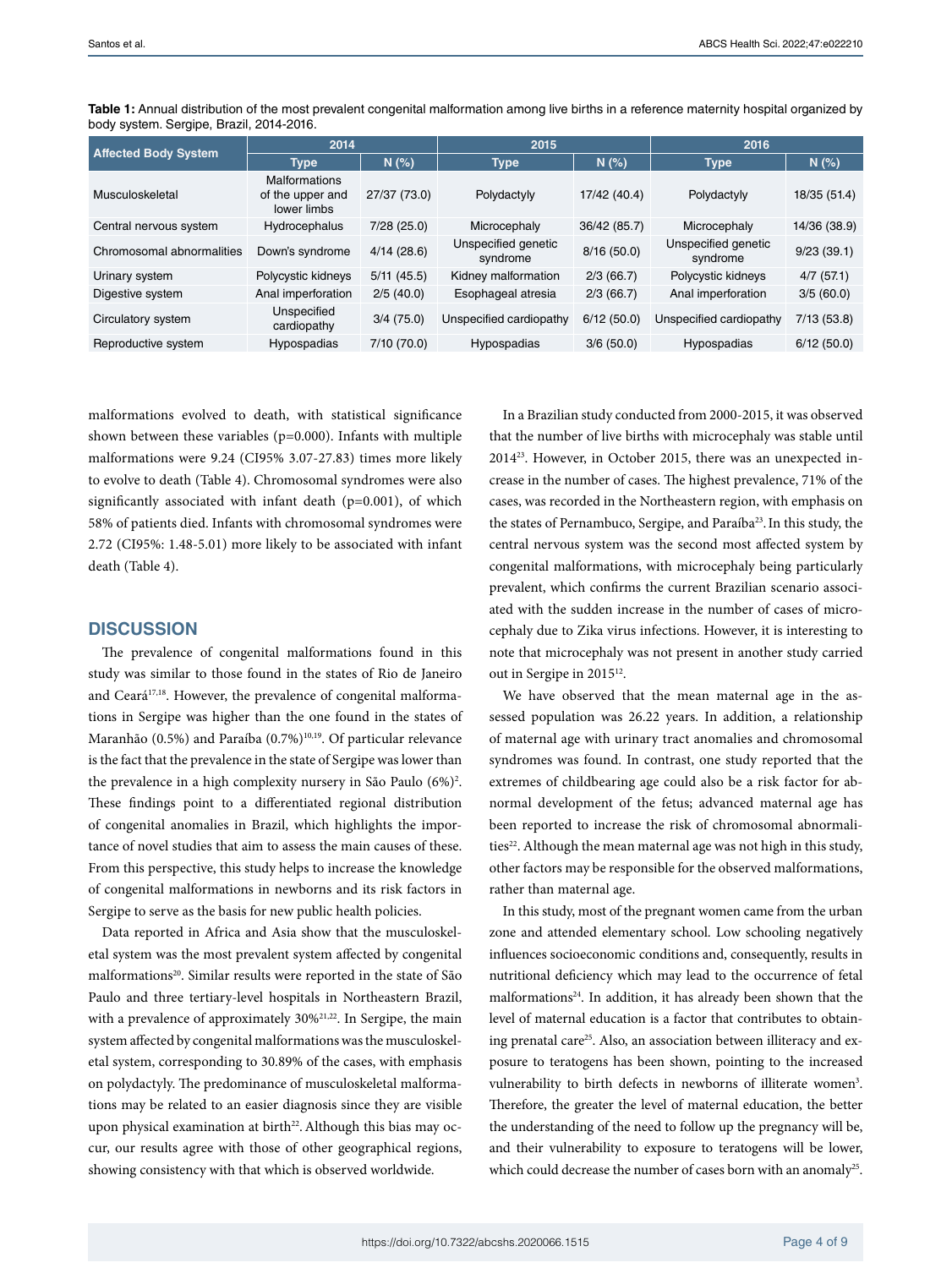| <b>Affected Body System</b> | 2014                                                    |               | 2015                            |              | 2016                            |              |  |
|-----------------------------|---------------------------------------------------------|---------------|---------------------------------|--------------|---------------------------------|--------------|--|
| <b>Type</b>                 |                                                         | N(%           | <b>Type</b>                     |              | <b>Type</b>                     | N(%)         |  |
| Musculoskeletal             | <b>Malformations</b><br>of the upper and<br>lower limbs | 27/37 (73.0)  | Polydactyly                     | 17/42 (40.4) | Polydactyly                     | 18/35 (51.4) |  |
| Central nervous system      | Hydrocephalus                                           | 7/28(25.0)    | Microcephaly                    | 36/42 (85.7) | Microcephaly                    | 14/36 (38.9) |  |
| Chromosomal abnormalities   | Down's syndrome                                         | 4/14(28.6)    | Unspecified genetic<br>syndrome | 8/16(50.0)   | Unspecified genetic<br>syndrome | 9/23(39.1)   |  |
| Urinary system              | Polycystic kidneys                                      | $5/11$ (45.5) | Kidney malformation             | 2/3(66.7)    | Polycystic kidneys              | 4/7(57.1)    |  |
| Digestive system            | Anal imperforation                                      | 2/5(40.0)     | Esophageal atresia              | 2/3(66.7)    | Anal imperforation              | 3/5(60.0)    |  |
| Circulatory system          | Unspecified<br>cardiopathy                              | 3/4(75.0)     | Unspecified cardiopathy         | 6/12(50.0)   | Unspecified cardiopathy         | 7/13(53.8)   |  |
| Reproductive system         | Hypospadias                                             | 7/10 (70.0)   | Hypospadias                     | 3/6(50.0)    | Hypospadias                     | 6/12(50.0)   |  |

**Table 1:** Annual distribution of the most prevalent congenital malformation among live births in a reference maternity hospital organized by body system. Sergipe, Brazil, 2014-2016.

malformations evolved to death, with statistical significance shown between these variables ( $p=0.000$ ). Infants with multiple malformations were 9.24 (CI95% 3.07-27.83) times more likely to evolve to death (Table 4). Chromosomal syndromes were also significantly associated with infant death (p=0.001), of which 58% of patients died. Infants with chromosomal syndromes were 2.72 (CI95%: 1.48-5.01) more likely to be associated with infant death (Table 4).

#### **DISCUSSION**

The prevalence of congenital malformations found in this study was similar to those found in the states of Rio de Janeiro and Ceará<sup>17,18</sup>. However, the prevalence of congenital malformations in Sergipe was higher than the one found in the states of Maranhão (0.5%) and Paraíba (0.7%)<sup>10,19</sup>. Of particular relevance is the fact that the prevalence in the state of Sergipe was lower than the prevalence in a high complexity nursery in São Paulo (6%)<sup>2</sup>. These findings point to a differentiated regional distribution of congenital anomalies in Brazil, which highlights the importance of novel studies that aim to assess the main causes of these. From this perspective, this study helps to increase the knowledge of congenital malformations in newborns and its risk factors in Sergipe to serve as the basis for new public health policies.

Data reported in Africa and Asia show that the musculoskeletal system was the most prevalent system affected by congenital malformations<sup>20</sup>. Similar results were reported in the state of São Paulo and three tertiary-level hospitals in Northeastern Brazil, with a prevalence of approximately 30%<sup>21,22</sup>. In Sergipe, the main system affected by congenital malformations was the musculoskeletal system, corresponding to 30.89% of the cases, with emphasis on polydactyly. The predominance of musculoskeletal malformations may be related to an easier diagnosis since they are visible upon physical examination at birth<sup>22</sup>. Although this bias may occur, our results agree with those of other geographical regions, showing consistency with that which is observed worldwide.

In a Brazilian study conducted from 2000-2015, it was observed that the number of live births with microcephaly was stable until 201423. However, in October 2015, there was an unexpected increase in the number of cases. The highest prevalence, 71% of the cases, was recorded in the Northeastern region, with emphasis on the states of Pernambuco, Sergipe, and Paraíba<sup>23</sup>. In this study, the central nervous system was the second most affected system by congenital malformations, with microcephaly being particularly prevalent, which confirms the current Brazilian scenario associated with the sudden increase in the number of cases of microcephaly due to Zika virus infections. However, it is interesting to note that microcephaly was not present in another study carried out in Sergipe in 2015<sup>12</sup>.

We have observed that the mean maternal age in the assessed population was 26.22 years. In addition, a relationship of maternal age with urinary tract anomalies and chromosomal syndromes was found. In contrast, one study reported that the extremes of childbearing age could also be a risk factor for abnormal development of the fetus; advanced maternal age has been reported to increase the risk of chromosomal abnormalities<sup>22</sup>. Although the mean maternal age was not high in this study, other factors may be responsible for the observed malformations, rather than maternal age.

In this study, most of the pregnant women came from the urban zone and attended elementary school. Low schooling negatively influences socioeconomic conditions and, consequently, results in nutritional deficiency which may lead to the occurrence of fetal malformations<sup>24</sup>. In addition, it has already been shown that the level of maternal education is a factor that contributes to obtaining prenatal care<sup>25</sup>. Also, an association between illiteracy and exposure to teratogens has been shown, pointing to the increased vulnerability to birth defects in newborns of illiterate women<sup>3</sup>. Therefore, the greater the level of maternal education, the better the understanding of the need to follow up the pregnancy will be, and their vulnerability to exposure to teratogens will be lower, which could decrease the number of cases born with an anomaly<sup>25</sup>.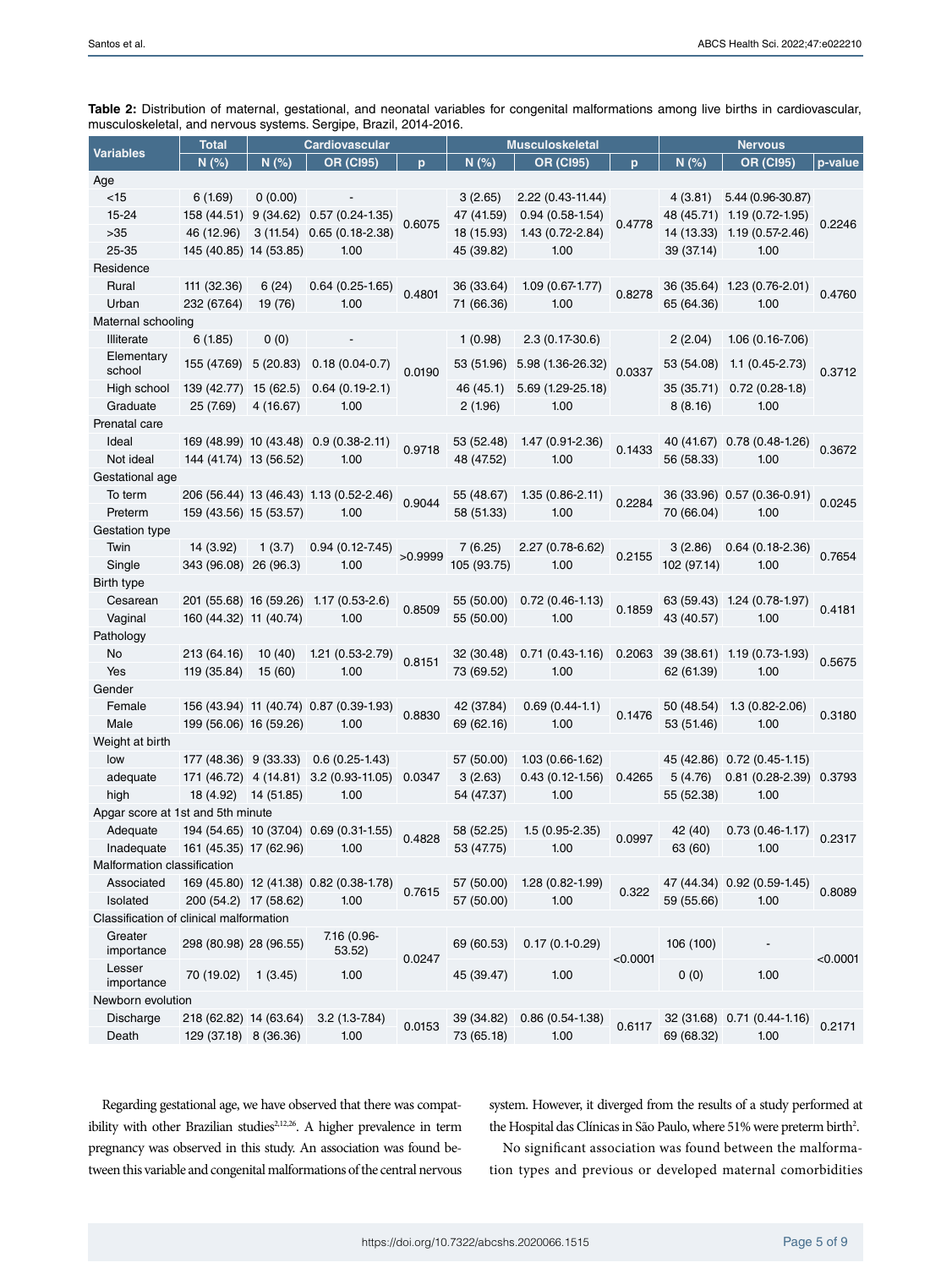|                                         | <b>Cardiovascular</b><br><b>Total</b> |                      |                                               | <b>Musculoskeletal</b> |             |                         | <b>Nervous</b> |             |                             |          |
|-----------------------------------------|---------------------------------------|----------------------|-----------------------------------------------|------------------------|-------------|-------------------------|----------------|-------------|-----------------------------|----------|
| <b>Variables</b>                        | N(%)                                  | N(%)                 | <b>OR (CI95)</b>                              | p                      | N(%)        | <b>OR (CI95)</b>        | p              | N(%)        | <b>OR (CI95)</b>            | p-value  |
| Age                                     |                                       |                      |                                               |                        |             |                         |                |             |                             |          |
| $<$ 15                                  | 6(1.69)                               | 0(0.00)              |                                               |                        | 3(2.65)     | 2.22 (0.43-11.44)       |                | 4(3.81)     | 5.44 (0.96-30.87)           |          |
| 15-24                                   |                                       |                      | 158 (44.51) 9 (34.62) 0.57 (0.24-1.35)        | 0.6075                 | 47 (41.59)  | $0.94(0.58-1.54)$       | 0.4778         |             | 48 (45.71) 1.19 (0.72-1.95) | 0.2246   |
| $>35$                                   | 46 (12.96)                            |                      | 3 (11.54) 0.65 (0.18-2.38)                    |                        | 18 (15.93)  | 1.43 (0.72-2.84)        |                |             | 14 (13.33) 1.19 (0.57-2.46) |          |
| 25-35                                   | 145 (40.85) 14 (53.85)                |                      | 1.00                                          |                        | 45 (39.82)  | 1.00                    |                | 39 (37.14)  | 1.00                        |          |
| Residence                               |                                       |                      |                                               |                        |             |                         |                |             |                             |          |
| Rural                                   | 111 (32.36)                           | 6(24)                | $0.64(0.25-1.65)$                             | 0.4801                 | 36 (33.64)  | $1.09(0.67-1.77)$       | 0.8278         |             | 36 (35.64) 1.23 (0.76-2.01) | 0.4760   |
| Urban                                   | 232 (67.64)                           | 19 (76)              | 1.00                                          |                        | 71 (66.36)  | 1.00                    |                | 65 (64.36)  | 1.00                        |          |
| Maternal schooling                      |                                       |                      |                                               |                        |             |                         |                |             |                             |          |
| Illiterate                              | 6(1.85)                               | 0(0)                 |                                               |                        | 1(0.98)     | $2.3(0.17-30.6)$        |                | 2(2.04)     | $1.06(0.16 - 7.06)$         |          |
| Elementary<br>school                    | 155 (47.69)                           | 5 (20.83)            | $0.18(0.04-0.7)$                              | 0.0190                 | 53 (51.96)  | 5.98 (1.36-26.32)       | 0.0337         | 53 (54.08)  | $1.1(0.45-2.73)$            | 0.3712   |
| High school                             | 139 (42.77) 15 (62.5)                 |                      | $0.64(0.19-2.1)$                              |                        | 46 (45.1)   | 5.69 (1.29-25.18)       |                | 35 (35.71)  | $0.72(0.28-1.8)$            |          |
| Graduate                                | 25 (7.69)                             | 4(16.67)             | 1.00                                          |                        | 2(1.96)     | 1.00                    |                | 8(8.16)     | 1.00                        |          |
| Prenatal care                           |                                       |                      |                                               |                        |             |                         |                |             |                             |          |
| Ideal                                   |                                       |                      | 169 (48.99) 10 (43.48) 0.9 (0.38-2.11)        |                        | 53 (52.48)  | 1.47 (0.91-2.36)        |                |             | 40 (41.67) 0.78 (0.48-1.26) |          |
| Not ideal                               | 144 (41.74) 13 (56.52)                |                      | 1.00                                          | 0.9718                 | 48 (47.52)  | 1.00                    | 0.1433         | 56 (58.33)  | 1.00                        | 0.3672   |
| Gestational age                         |                                       |                      |                                               |                        |             |                         |                |             |                             |          |
| To term                                 |                                       |                      | 206 (56.44) 13 (46.43) 1.13 (0.52-2.46)       |                        | 55 (48.67)  | $1.35(0.86-2.11)$       |                |             | 36 (33.96) 0.57 (0.36-0.91) |          |
| Preterm                                 | 159 (43.56) 15 (53.57)                |                      | 1.00                                          | 0.9044                 | 58 (51.33)  | 1.00                    | 0.2284         | 70 (66.04)  | 1.00                        | 0.0245   |
| Gestation type                          |                                       |                      |                                               |                        |             |                         |                |             |                             |          |
| Twin                                    | 14 (3.92)                             | 1(3.7)               | $0.94(0.12 - 7.45)$                           |                        | 7(6.25)     | 2.27 (0.78-6.62)        |                | 3(2.86)     | $0.64(0.18-2.36)$           |          |
| Single                                  | 343 (96.08) 26 (96.3)                 |                      | 1.00                                          | >0.9999                | 105 (93.75) | 1.00                    | 0.2155         | 102 (97.14) | 1.00                        | 0.7654   |
| Birth type                              |                                       |                      |                                               |                        |             |                         |                |             |                             |          |
| Cesarean                                |                                       |                      | 201 (55.68) 16 (59.26) 1.17 (0.53-2.6)        |                        | 55 (50.00)  | $0.72(0.46-1.13)$       |                |             | 63 (59.43) 1.24 (0.78-1.97) |          |
| Vaginal                                 | 160 (44.32) 11 (40.74)                |                      | 1.00                                          | 0.8509                 | 55 (50.00)  | 1.00                    | 0.1859         | 43 (40.57)  | 1.00                        | 0.4181   |
| Pathology                               |                                       |                      |                                               |                        |             |                         |                |             |                             |          |
| No                                      | 213 (64.16)                           | 10(40)               | $1.21(0.53-2.79)$                             | 0.8151                 | 32 (30.48)  | $0.71(0.43-1.16)0.2063$ |                |             | 39 (38.61) 1.19 (0.73-1.93) |          |
| Yes                                     | 119 (35.84)                           | 15(60)               | 1.00                                          |                        | 73 (69.52)  | 1.00                    |                | 62 (61.39)  | 1.00                        | 0.5675   |
| Gender                                  |                                       |                      |                                               |                        |             |                         |                |             |                             |          |
| Female                                  |                                       |                      | 156 (43.94) 11 (40.74) 0.87 (0.39-1.93)       |                        | 42 (37.84)  | $0.69(0.44-1.1)$        |                | 50 (48.54)  | $1.3(0.82 - 2.06)$          |          |
| Male                                    | 199 (56.06) 16 (59.26)                |                      | 1.00                                          | 0.8830                 | 69 (62.16)  | 1.00                    | 0.1476         | 53 (51.46)  | 1.00                        | 0.3180   |
| Weight at birth                         |                                       |                      |                                               |                        |             |                         |                |             |                             |          |
| low                                     |                                       |                      | 177 (48.36) 9 (33.33) 0.6 (0.25-1.43)         |                        | 57 (50.00)  | $1.03(0.66 - 1.62)$     |                |             | 45 (42.86) 0.72 (0.45-1.15) |          |
| adequate                                |                                       |                      | 171 (46.72) 4 (14.81) 3.2 (0.93-11.05) 0.0347 |                        | 3(2.63)     | $0.43(0.12-1.56)$       | 0.4265         | 5(4.76)     | 0.81 (0.28-2.39) 0.3793     |          |
| high                                    |                                       | 18 (4.92) 14 (51.85) | 1.00                                          |                        | 54 (47.37)  | 1.00                    |                | 55 (52.38)  | 1.00                        |          |
| Apgar score at 1st and 5th minute       |                                       |                      |                                               |                        |             |                         |                |             |                             |          |
| Adequate                                |                                       |                      | 194 (54.65) 10 (37.04) 0.69 (0.31-1.55)       | 0.4828                 | 58 (52.25)  | $1.5(0.95-2.35)$        | 0.0997         | 42 (40)     | $0.73(0.46-1.17)$           | 0.2317   |
| Inadequate 161 (45.35) 17 (62.96)       |                                       |                      | 1.00                                          |                        | 53 (47.75)  | 1.00                    |                | 63 (60)     | 1.00                        |          |
| Malformation classification             |                                       |                      |                                               |                        |             |                         |                |             |                             |          |
| Associated                              |                                       |                      | 169 (45.80) 12 (41.38) 0.82 (0.38-1.78)       | 0.7615                 | 57 (50.00)  | $1.28(0.82 - 1.99)$     | 0.322          |             | 47 (44.34) 0.92 (0.59-1.45) | 0.8089   |
| Isolated                                | 200 (54.2) 17 (58.62)                 |                      | 1.00                                          |                        | 57 (50.00)  | 1.00                    |                | 59 (55.66)  | 1.00                        |          |
| Classification of clinical malformation |                                       |                      |                                               |                        |             |                         |                |             |                             |          |
| Greater<br>importance                   | 298 (80.98) 28 (96.55)                |                      | 7.16 (0.96-<br>53.52)                         |                        | 69 (60.53)  | $0.17(0.1-0.29)$        |                | 106 (100)   | $\overline{\phantom{a}}$    | < 0.0001 |
| Lesser<br>importance                    | 70 (19.02)                            | 1 (3.45)             | 1.00                                          | 0.0247                 | 45 (39.47)  | 1.00                    | < 0.0001       | 0(0)        | 1.00                        |          |
| Newborn evolution                       |                                       |                      |                                               |                        |             |                         |                |             |                             |          |
| Discharge                               | 218 (62.82) 14 (63.64)                |                      | $3.2(1.3 - 7.84)$                             |                        | 39 (34.82)  | $0.86(0.54-1.38)$       |                |             | 32 (31.68) 0.71 (0.44-1.16) |          |
| Death                                   | 129 (37.18) 8 (36.36)                 |                      | 1.00                                          | 0.0153                 | 73 (65.18)  | 1.00                    | 0.6117         | 69 (68.32)  | 1.00                        | 0.2171   |

**Table 2:** Distribution of maternal, gestational, and neonatal variables for congenital malformations among live births in cardiovascular, musculoskeletal, and nervous systems. Sergipe, Brazil, 2014-2016.

Regarding gestational age, we have observed that there was compatibility with other Brazilian studies<sup>2,12,26</sup>. A higher prevalence in term pregnancy was observed in this study. An association was found between this variable and congenital malformations of the central nervous system. However, it diverged from the results of a study performed at the Hospital das Clínicas in São Paulo, where 51% were preterm birth<sup>2</sup>.

No significant association was found between the malformation types and previous or developed maternal comorbidities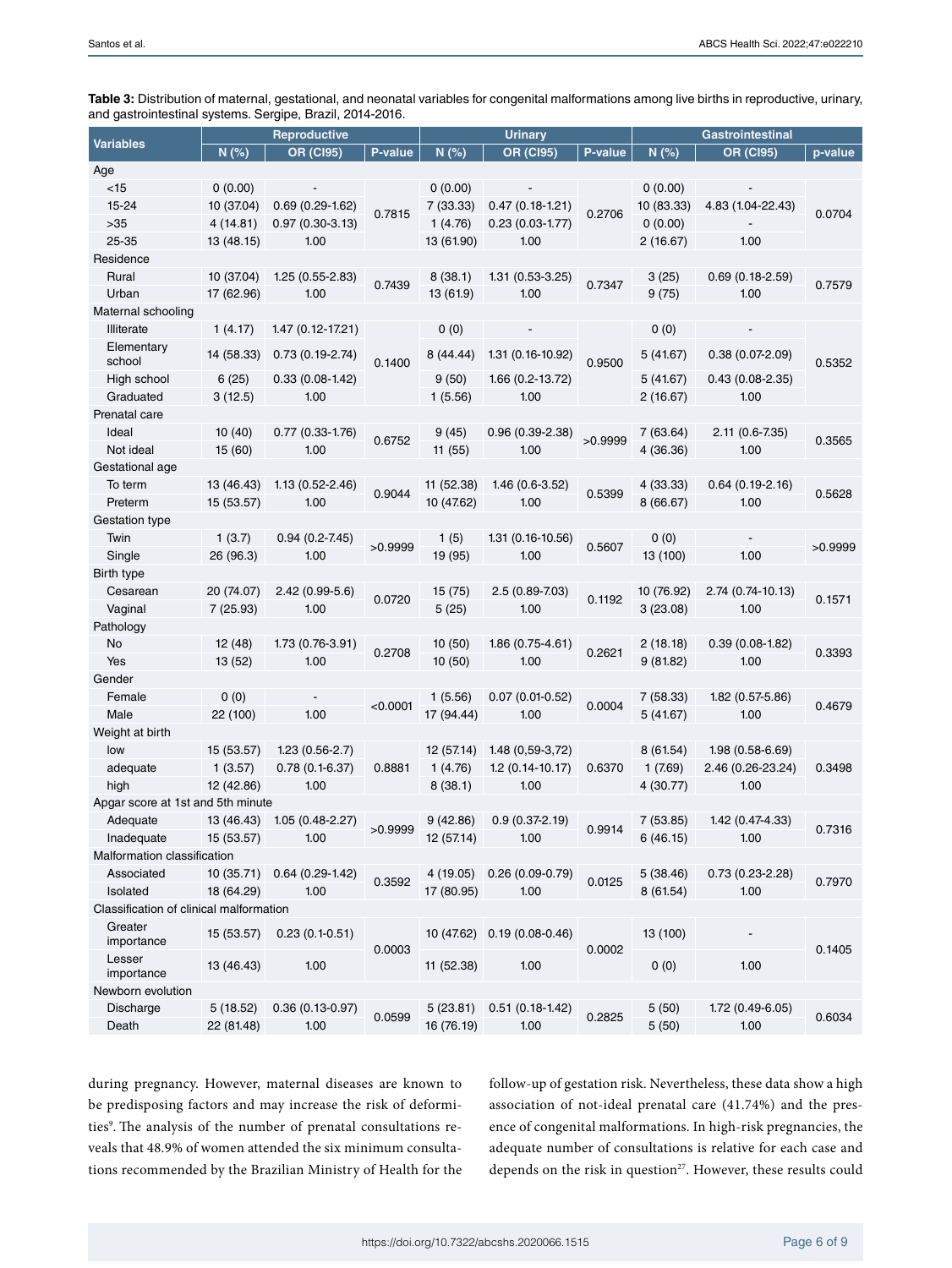**Table 3:** Distribution of maternal, gestational, and neonatal variables for congenital malformations among live births in reproductive, urinary, and gastrointestinal systems. Sergipe, Brazil, 2014-2016.

|                                         | Reproductive |                      |          | <b>Urinary</b> |                             |         | <b>Gastrointestinal</b> |                     |         |
|-----------------------------------------|--------------|----------------------|----------|----------------|-----------------------------|---------|-------------------------|---------------------|---------|
| <b>Variables</b>                        | N(%)         | <b>OR (CI95)</b>     | P-value  | N(%)           | <b>OR (CI95)</b>            | P-value | N(%)                    | <b>OR (CI95)</b>    | p-value |
| Age                                     |              |                      |          |                |                             |         |                         |                     |         |
| $<$ 15                                  | 0(0.00)      |                      |          | 0(0.00)        |                             |         | 0(0.00)                 |                     |         |
| 15-24                                   | 10 (37.04)   | $0.69(0.29-1.62)$    | 0.7815   | 7(33.33)       | $0.47(0.18-1.21)$           | 0.2706  | 10 (83.33)              | 4.83 (1.04-22.43)   | 0.0704  |
| $>35$                                   | 4 (14.81)    | $0.97(0.30-3.13)$    |          | 1(4.76)        | $0.23(0.03-1.77)$           |         | 0(0.00)                 |                     |         |
| 25-35                                   | 13 (48.15)   | 1.00                 |          | 13 (61.90)     | 1.00                        |         | 2(16.67)                | 1.00                |         |
| Residence                               |              |                      |          |                |                             |         |                         |                     |         |
| Rural                                   | 10 (37.04)   | $1.25(0.55-2.83)$    | 0.7439   | 8(38.1)        | $1.31(0.53-3.25)$           | 0.7347  | 3 (25)                  | $0.69(0.18-2.59)$   | 0.7579  |
| Urban                                   | 17 (62.96)   | 1.00                 |          | 13 (61.9)      | 1.00                        |         | 9(75)                   | 1.00                |         |
| Maternal schooling                      |              |                      |          |                |                             |         |                         |                     |         |
| Illiterate                              | 1(4.17)      | $1.47(0.12 - 17.21)$ |          | 0(0)           |                             |         | 0(0)                    |                     |         |
| Elementary<br>school                    | 14 (58.33)   | $0.73(0.19-2.74)$    | 0.1400   | 8 (44.44)      | 1.31 (0.16-10.92)           | 0.9500  | 5 (41.67)               | $0.38(0.07-2.09)$   | 0.5352  |
| High school                             | 6(25)        | $0.33(0.08-1.42)$    |          | 9(50)          | 1.66 (0.2-13.72)            |         | 5 (41.67)               | $0.43(0.08-2.35)$   |         |
| Graduated                               | 3(12.5)      | 1.00                 |          | 1(5.56)        | 1.00                        |         | 2 (16.67)               | 1.00                |         |
| Prenatal care                           |              |                      |          |                |                             |         |                         |                     |         |
| Ideal                                   | 10(40)       | $0.77(0.33 - 1.76)$  |          | 9(45)          | $0.96(0.39-2.38)$           |         | 7 (63.64)               | 2.11 (0.6-7.35)     |         |
| Not ideal                               | 15 (60)      | 1.00                 | 0.6752   | 11(55)         | 1.00                        | >0.9999 | 4(36.36)                | 1.00                | 0.3565  |
| Gestational age                         |              |                      |          |                |                             |         |                         |                     |         |
| To term                                 | 13 (46.43)   | 1.13 (0.52-2.46)     |          | 11 (52.38)     | $1.46(0.6-3.52)$            |         | 4 (33.33)               | $0.64(0.19-2.16)$   |         |
| Preterm                                 | 15 (53.57)   | 1.00                 | 0.9044   | 10 (47.62)     | 1.00                        | 0.5399  | 8(66.67)                | 1.00                | 0.5628  |
| Gestation type                          |              |                      |          |                |                             |         |                         |                     |         |
| Twin                                    | 1(3.7)       | 0.94 (0.2-7.45)      |          | 1(5)           | 1.31 (0.16-10.56)           |         | 0(0)                    |                     | >0.9999 |
| Single                                  | 26 (96.3)    | 1.00                 | >0.9999  | 19 (95)        | 1.00                        | 0.5607  | 13 (100)                | 1.00                |         |
| Birth type                              |              |                      |          |                |                             |         |                         |                     |         |
| Cesarean                                | 20 (74.07)   | $2.42(0.99-5.6)$     | 0.0720   | 15 (75)        | 2.5 (0.89-7.03)             |         | 10 (76.92)              | 2.74 (0.74-10.13)   |         |
| Vaginal                                 | 7(25.93)     | 1.00                 |          | 5(25)          | 1.00                        | 0.1192  | 3(23.08)                | 1.00                | 0.1571  |
| Pathology                               |              |                      |          |                |                             |         |                         |                     |         |
| No                                      | 12 (48)      | 1.73 (0.76-3.91)     | 0.2708   | 10(50)         | 1.86 (0.75-4.61)            | 0.2621  | 2(18.18)                | $0.39(0.08-1.82)$   | 0.3393  |
| Yes                                     | 13 (52)      | 1.00                 |          | 10(50)         | 1.00                        |         | 9(81.82)                | 1.00                |         |
| Gender                                  |              |                      |          |                |                             |         |                         |                     |         |
| Female                                  | 0(0)         |                      | < 0.0001 | 1(5.56)        | $0.07(0.01-0.52)$           | 0.0004  | 7 (58.33)               | 1.82 (0.57-5.86)    | 0.4679  |
| Male                                    | 22 (100)     | 1.00                 |          | 17 (94.44)     | 1.00                        |         | 5 (41.67)               | 1.00                |         |
| Weight at birth                         |              |                      |          |                |                             |         |                         |                     |         |
| low                                     | 15 (53.57)   | $1.23(0.56-2.7)$     |          | 12 (57.14)     | 1.48 (0,59-3,72)            |         | 8 (61.54)               | $1.98(0.58 - 6.69)$ |         |
| adequate                                | 1(3.57)      | $0.78(0.1-6.37)$     | 0.8881   | 1(4.76)        | $1.2(0.14-10.17)$           | 0.6370  | 1(7.69)                 | 2.46 (0.26-23.24)   | 0.3498  |
| high                                    | 12 (42.86)   | 1.00                 |          | 8(38.1)        | 1.00                        |         | 4(30.77)                | 1.00                |         |
| Apgar score at 1st and 5th minute       |              |                      |          |                |                             |         |                         |                     |         |
| Adequate                                | 13 (46.43)   | 1.05 (0.48-2.27)     | >0.9999  | 9(42.86)       | $0.9(0.37-2.19)$            | 0.9914  | 7 (53.85)               | 1.42 (0.47-4.33)    | 0.7316  |
| Inadequate                              | 15 (53.57)   | 1.00                 |          | 12 (57.14)     | 1.00                        |         | 6(46.15)                | 1.00                |         |
| Malformation classification             |              |                      |          |                |                             |         |                         |                     |         |
| Associated                              | 10(35.71)    | $0.64(0.29-1.42)$    | 0.3592   | 4 (19.05)      | $0.26(0.09-0.79)$           | 0.0125  | 5(38.46)                | $0.73(0.23-2.28)$   | 0.7970  |
| Isolated                                | 18 (64.29)   | 1.00                 |          | 17 (80.95)     | 1.00                        |         | 8 (61.54)               | 1.00                |         |
| Classification of clinical malformation |              |                      |          |                |                             |         |                         |                     |         |
| Greater<br>importance                   | 15 (53.57)   | $0.23(0.1-0.51)$     | 0.0003   |                | 10 (47.62) 0.19 (0.08-0.46) | 0.0002  | 13 (100)                |                     | 0.1405  |
| Lesser<br>importance                    | 13 (46.43)   | 1.00                 |          | 11 (52.38)     | 1.00                        |         | 0(0)                    | 1.00                |         |
| Newborn evolution                       |              |                      |          |                |                             |         |                         |                     |         |
| Discharge                               | 5(18.52)     | $0.36(0.13-0.97)$    | 0.0599   | 5(23.81)       | $0.51(0.18-1.42)$           | 0.2825  | 5(50)                   | 1.72 (0.49-6.05)    | 0.6034  |
| Death                                   | 22 (81.48)   | 1.00                 |          | 16 (76.19)     | 1.00                        |         | 5(50)                   | 1.00                |         |

during pregnancy. However, maternal diseases are known to be predisposing factors and may increase the risk of deformities<sup>9</sup>. The analysis of the number of prenatal consultations reveals that 48.9% of women attended the six minimum consultations recommended by the Brazilian Ministry of Health for the follow-up of gestation risk. Nevertheless, these data show a high association of not-ideal prenatal care (41.74%) and the presence of congenital malformations. In high-risk pregnancies, the adequate number of consultations is relative for each case and depends on the risk in question<sup>27</sup>. However, these results could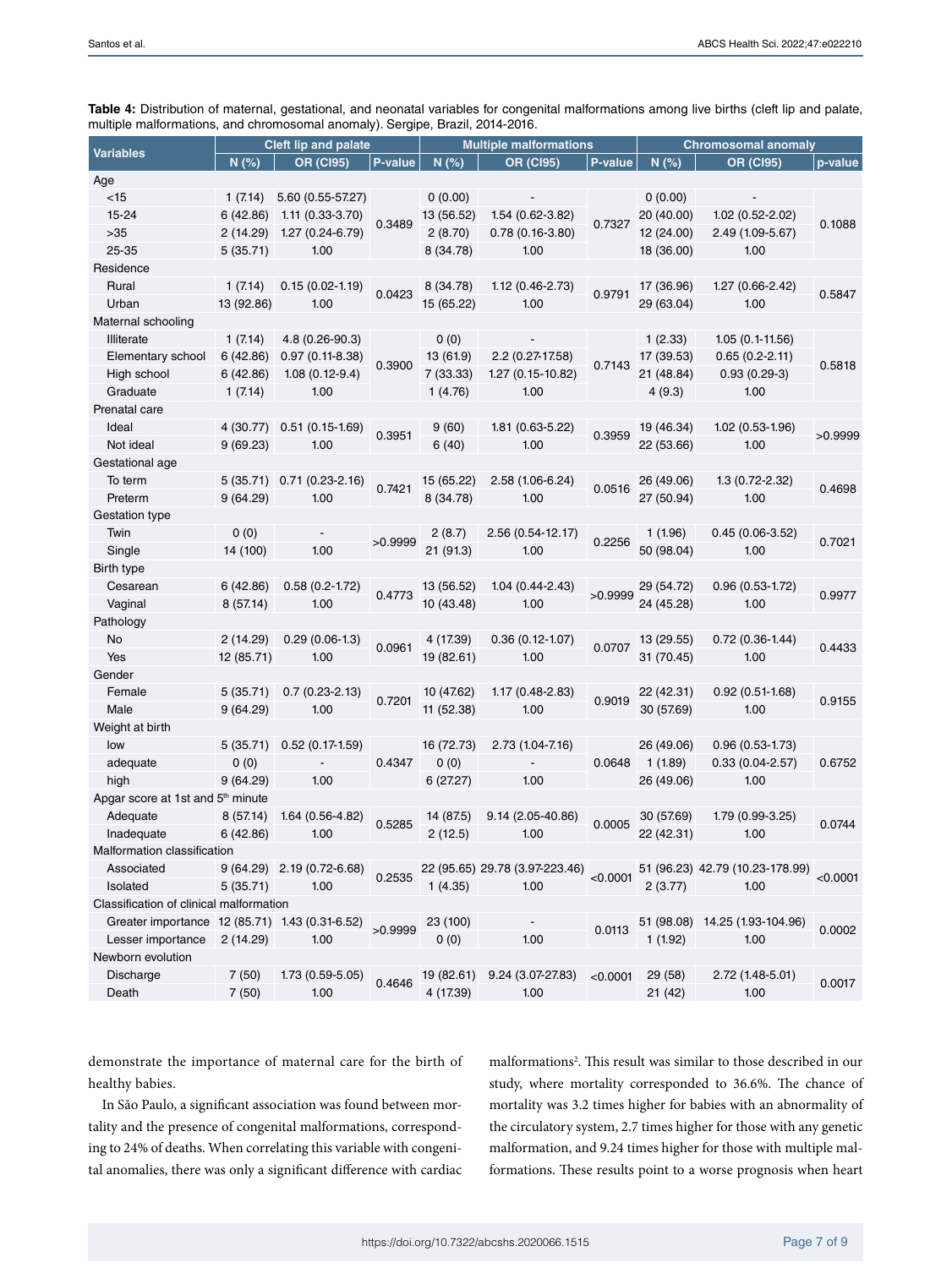|                                                                                           | Cleft lip and palate |                            |         | <b>Multiple malformations</b> |                                |          | <b>Chromosomal anomaly</b> |                                 |          |
|-------------------------------------------------------------------------------------------|----------------------|----------------------------|---------|-------------------------------|--------------------------------|----------|----------------------------|---------------------------------|----------|
| <b>Variables</b>                                                                          | N(%)                 | <b>OR (CI95)</b>           | P-value | N(%)                          | <b>OR (CI95)</b>               | P-value  | N(%)                       | <b>OR (CI95)</b>                | p-value  |
| Age                                                                                       |                      |                            |         |                               |                                |          |                            |                                 |          |
| $<$ 15                                                                                    | 1(7.14)              | 5.60 (0.55-57.27)          |         | 0(0.00)                       |                                |          | 0(0.00)                    |                                 |          |
| 15-24                                                                                     | 6(42.86)             | 1.11 (0.33-3.70)           | 0.3489  | 13 (56.52)                    | 1.54 (0.62-3.82)               | 0.7327   | 20 (40.00)                 | 1.02 (0.52-2.02)                |          |
| >35                                                                                       | 2(14.29)             | 1.27 (0.24-6.79)           |         | 2(8.70)                       | $0.78(0.16-3.80)$              |          | 12 (24.00)                 | 2.49 (1.09-5.67)                | 0.1088   |
| 25-35                                                                                     | 5(35.71)             | 1.00                       |         | 8 (34.78)                     | 1.00                           |          | 18 (36.00)                 | 1.00                            |          |
| Residence                                                                                 |                      |                            |         |                               |                                |          |                            |                                 |          |
| Rural                                                                                     | 1(7.14)              | $0.15(0.02 - 1.19)$        |         | 8 (34.78)                     | $1.12(0.46 - 2.73)$            |          | 17 (36.96)                 | 1.27 (0.66-2.42)                |          |
| Urban                                                                                     | 13 (92.86)           | 1.00                       | 0.0423  | 15 (65.22)                    | 1.00                           | 0.9791   | 29 (63.04)                 | 1.00                            | 0.5847   |
| Maternal schooling                                                                        |                      |                            |         |                               |                                |          |                            |                                 |          |
| Illiterate                                                                                | 1(7.14)              | 4.8 (0.26-90.3)            |         | 0(0)                          |                                |          | 1(2.33)                    | $1.05(0.1-11.56)$               |          |
| Elementary school                                                                         | 6(42.86)             | $0.97(0.11-8.38)$          |         | 13 (61.9)                     | 2.2 (0.27-17.58)               |          | 17 (39.53)                 | $0.65(0.2-2.11)$                |          |
| High school                                                                               | 6 (42.86)            | $1.08(0.12-9.4)$           | 0.3900  | 7 (33.33)                     | 1.27 (0.15-10.82)              | 0.7143   | 21 (48.84)                 | $0.93(0.29-3)$                  | 0.5818   |
| Graduate                                                                                  | 1(7.14)              | 1.00                       |         | 1(4.76)                       | 1.00                           |          | 4(9.3)                     | 1.00                            |          |
| Prenatal care                                                                             |                      |                            |         |                               |                                |          |                            |                                 |          |
| Ideal                                                                                     | 4 (30.77)            | $0.51(0.15-1.69)$          |         | 9(60)                         | 1.81 (0.63-5.22)               |          | 19 (46.34)                 | $1.02(0.53-1.96)$               |          |
| Not ideal                                                                                 | 9(69.23)             | 1.00                       | 0.3951  | 6(40)                         | 1.00                           | 0.3959   | 22 (53.66)                 | 1.00                            | >0.9999  |
| Gestational age                                                                           |                      |                            |         |                               |                                |          |                            |                                 |          |
| To term                                                                                   |                      | 5 (35.71) 0.71 (0.23-2.16) |         | 15 (65.22)                    | 2.58 (1.06-6.24)               |          | 26 (49.06)                 | $1.3(0.72 - 2.32)$              |          |
| Preterm                                                                                   | 9(64.29)             | 1.00                       | 0.7421  | 8 (34.78)                     | 1.00                           | 0.0516   | 27 (50.94)                 | 1.00                            | 0.4698   |
| Gestation type                                                                            |                      |                            |         |                               |                                |          |                            |                                 |          |
| Twin                                                                                      | 0(0)                 |                            |         | 2(8.7)                        | 2.56 (0.54-12.17)              |          | 1(1.96)                    | $0.45(0.06-3.52)$               |          |
| Single                                                                                    | 14 (100)             | 1.00                       | >0.9999 | 21 (91.3)                     | 1.00                           | 0.2256   | 50 (98.04)                 | 1.00                            | 0.7021   |
| Birth type                                                                                |                      |                            |         |                               |                                |          |                            |                                 |          |
| Cesarean                                                                                  | 6(42.86)             | $0.58(0.2-1.72)$           |         | 13 (56.52)                    | 1.04 (0.44-2.43)               |          | 29 (54.72)                 | $0.96(0.53 - 1.72)$             |          |
| Vaginal                                                                                   | 8(57.14)             | 1.00                       | 0.4773  | 10 (43.48)                    | 1.00                           | >0.9999  | 24 (45.28)                 | 1.00                            | 0.9977   |
| Pathology                                                                                 |                      |                            |         |                               |                                |          |                            |                                 |          |
| No                                                                                        | 2(14.29)             | $0.29(0.06-1.3)$           |         | 4 (17.39)                     | $0.36(0.12-1.07)$              |          | 13 (29.55)                 | $0.72(0.36-1.44)$               |          |
| Yes                                                                                       | 12 (85.71)           | 1.00                       | 0.0961  | 19 (82.61)                    | 1.00                           | 0.0707   | 31 (70.45)                 | 1.00                            | 0.4433   |
| Gender                                                                                    |                      |                            |         |                               |                                |          |                            |                                 |          |
| Female                                                                                    | 5(35.71)             | $0.7(0.23-2.13)$           |         | 10 (47.62)                    | 1.17 (0.48-2.83)               |          | 22 (42.31)                 | $0.92(0.51-1.68)$               |          |
| Male                                                                                      | 9(64.29)             | 1.00                       | 0.7201  | 11 (52.38)                    | 1.00                           | 0.9019   | 30 (57.69)                 | 1.00                            | 0.9155   |
| Weight at birth                                                                           |                      |                            |         |                               |                                |          |                            |                                 |          |
| low                                                                                       | 5(35.71)             | $0.52(0.17-1.59)$          |         | 16 (72.73)                    | 2.73 (1.04-7.16)               |          | 26 (49.06)                 | $0.96(0.53-1.73)$               |          |
|                                                                                           | 0(0)                 |                            | 0.4347  | 0(0)                          |                                | 0.0648   | 1(1.89)                    | $0.33(0.04 - 2.57)$             | 0.6752   |
| adequate<br>high                                                                          | 9(64.29)             | 1.00                       |         |                               | 1.00                           |          | 26 (49.06)                 | 1.00                            |          |
| Apgar score at 1st and 5 <sup>th</sup> minute                                             |                      |                            |         | 6(27.27)                      |                                |          |                            |                                 |          |
| Adequate                                                                                  |                      |                            |         |                               |                                |          |                            |                                 |          |
|                                                                                           | 8 (57.14)            | 1.64 (0.56-4.82)           | 0.5285  | 14 (87.5)                     | 9.14 (2.05-40.86)              | 0.0005   | 30 (57.69)                 | 1.79 (0.99-3.25)                | 0.0744   |
| Inadequate                                                                                | 6(42.86)             | 1.00                       |         | 2(12.5)                       | 1.00                           |          | 22 (42.31)                 | 1.00                            |          |
| Malformation classification                                                               |                      |                            |         |                               |                                |          |                            |                                 |          |
| Associated                                                                                |                      | 9 (64.29) 2.19 (0.72-6.68) | 0.2535  |                               | 22 (95.65) 29.78 (3.97-223.46) | < 0.0001 |                            | 51 (96.23) 42.79 (10.23-178.99) | < 0.0001 |
| Isolated                                                                                  | 5 (35.71)            | 1.00                       |         | 1(4.35)                       | 1.00                           |          | 2(3.77)                    | 1.00                            |          |
| Classification of clinical malformation<br>Greater importance 12 (85.71) 1.43 (0.31-6.52) |                      |                            |         |                               |                                |          |                            |                                 |          |
|                                                                                           |                      |                            | >0.9999 | 23 (100)                      |                                | 0.0113   |                            | 51 (98.08) 14.25 (1.93-104.96)  | 0.0002   |
| Lesser importance                                                                         | 2(14.29)             | 1.00                       |         | 0(0)                          | 1.00                           |          | 1(1.92)                    | 1.00                            |          |
| Newborn evolution                                                                         |                      |                            |         |                               |                                |          |                            |                                 |          |
| Discharge                                                                                 | 7(50)                | 1.73 (0.59-5.05)           | 0.4646  | 19 (82.61)                    | 9.24 (3.07-27.83)              | < 0.0001 | 29 (58)                    | 2.72 (1.48-5.01)                | 0.0017   |
| Death                                                                                     | 7(50)                | 1.00                       |         | 4 (17.39)                     | 1.00                           |          | 21 (42)                    | 1.00                            |          |

**Table 4:** Distribution of maternal, gestational, and neonatal variables for congenital malformations among live births (cleft lip and palate, multiple malformations, and chromosomal anomaly). Sergipe, Brazil, 2014-2016.

demonstrate the importance of maternal care for the birth of healthy babies.

In São Paulo, a significant association was found between mortality and the presence of congenital malformations, corresponding to 24% of deaths. When correlating this variable with congenital anomalies, there was only a significant difference with cardiac

malformations<sup>2</sup>. This result was similar to those described in our study, where mortality corresponded to 36.6%. The chance of mortality was 3.2 times higher for babies with an abnormality of the circulatory system, 2.7 times higher for those with any genetic malformation, and 9.24 times higher for those with multiple malformations. These results point to a worse prognosis when heart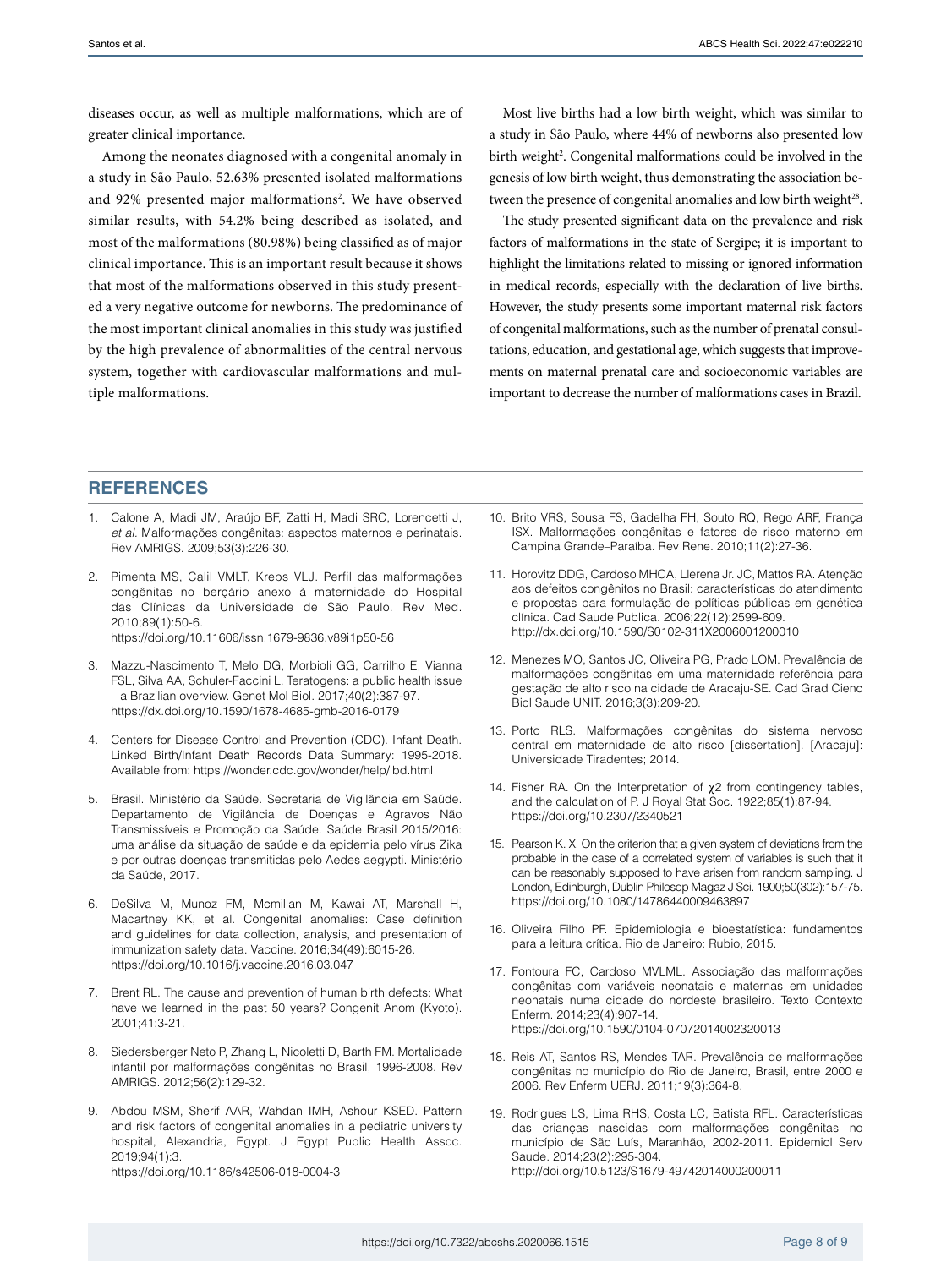diseases occur, as well as multiple malformations, which are of greater clinical importance.

Among the neonates diagnosed with a congenital anomaly in a study in São Paulo, 52.63% presented isolated malformations and 92% presented major malformations<sup>2</sup>. We have observed similar results, with 54.2% being described as isolated, and most of the malformations (80.98%) being classified as of major clinical importance. This is an important result because it shows that most of the malformations observed in this study presented a very negative outcome for newborns. The predominance of the most important clinical anomalies in this study was justified by the high prevalence of abnormalities of the central nervous system, together with cardiovascular malformations and multiple malformations.

Most live births had a low birth weight, which was similar to a study in São Paulo, where 44% of newborns also presented low birth weight<sup>2</sup>. Congenital malformations could be involved in the genesis of low birth weight, thus demonstrating the association between the presence of congenital anomalies and low birth weight<sup>28</sup>.

The study presented significant data on the prevalence and risk factors of malformations in the state of Sergipe; it is important to highlight the limitations related to missing or ignored information in medical records, especially with the declaration of live births. However, the study presents some important maternal risk factors of congenital malformations, such as the number of prenatal consultations, education, and gestational age, which suggests that improvements on maternal prenatal care and socioeconomic variables are important to decrease the number of malformations cases in Brazil.

### **REFERENCES**

- 1. Calone A, Madi JM, Araújo BF, Zatti H, Madi SRC, Lorencetti J, *et al.* Malformações congênitas: aspectos maternos e perinatais. Rev AMRIGS. 2009;53(3):226-30.
- 2. Pimenta MS, Calil VMLT, Krebs VLJ. Perfil das malformações congênitas no berçário anexo à maternidade do Hospital das Clínicas da Universidade de São Paulo. Rev Med. 2010;89(1):50-6.

<https://doi.org/10.11606/issn.1679-9836.v89i1p50-56>

- 3. Mazzu-Nascimento T, Melo DG, Morbioli GG, Carrilho E, Vianna FSL, Silva AA, Schuler-Faccini L. Teratogens: a public health issue – a Brazilian overview. Genet Mol Biol. 2017;40(2):387-97. <https://dx.doi.org/10.1590/1678-4685-gmb-2016-0179>
- 4. Centers for Disease Control and Prevention (CDC). Infant Death. Linked Birth/Infant Death Records Data Summary: 1995-2018. Available from:<https://wonder.cdc.gov/wonder/help/lbd.html>
- 5. Brasil. Ministério da Saúde. Secretaria de Vigilância em Saúde. Departamento de Vigilância de Doenças e Agravos Não Transmissíveis e Promoção da Saúde. Saúde Brasil 2015/2016: uma análise da situação de saúde e da epidemia pelo vírus Zika e por outras doenças transmitidas pelo Aedes aegypti. Ministério da Saúde, 2017.
- 6. DeSilva M, Munoz FM, Mcmillan M, Kawai AT, Marshall H, Macartney KK, et al. Congenital anomalies: Case definition and guidelines for data collection, analysis, and presentation of immunization safety data. Vaccine. 2016;34(49):6015-26. <https://doi.org/10.1016/j.vaccine.2016.03.047>
- 7. Brent RL. The cause and prevention of human birth defects: What have we learned in the past 50 years? Congenit Anom (Kyoto). 2001;41:3-21.
- 8. Siedersberger Neto P, Zhang L, Nicoletti D, Barth FM. Mortalidade infantil por malformações congênitas no Brasil, 1996-2008. Rev AMRIGS. 2012;56(2):129-32.
- 9. Abdou MSM, Sherif AAR, Wahdan IMH, Ashour KSED. Pattern and risk factors of congenital anomalies in a pediatric university hospital, Alexandria, Egypt. J Egypt Public Health Assoc. 2019;94(1):3. <https://doi.org/10.1186/s42506-018-0004-3>
- 10. Brito VRS, Sousa FS, Gadelha FH, Souto RQ, Rego ARF, França ISX. Malformações congênitas e fatores de risco materno em Campina Grande–Paraíba. Rev Rene. 2010;11(2):27-36.
- 11. Horovitz DDG, Cardoso MHCA, Llerena Jr. JC, Mattos RA. Atenção aos defeitos congênitos no Brasil: características do atendimento e propostas para formulação de políticas públicas em genética clínica. Cad Saude Publica. 2006;22(12):2599-609. <http://dx.doi.org/10.1590/S0102-311X2006001200010>
- 12. Menezes MO, Santos JC, Oliveira PG, Prado LOM. Prevalência de malformações congênitas em uma maternidade referência para gestação de alto risco na cidade de Aracaju-SE. Cad Grad Cienc Biol Saude UNIT. 2016;3(3):209-20.
- 13. Porto RLS. Malformações congênitas do sistema nervoso central em maternidade de alto risco [dissertation]. [Aracaju]: Universidade Tiradentes; 2014.
- 14. Fisher RA. On the Interpretation of  $χ$ 2 from contingency tables, and the calculation of P. J Royal Stat Soc. 1922;85(1):87-94. <https://doi.org/10.2307/2340521>
- 15. Pearson K. X. On the criterion that a given system of deviations from the probable in the case of a correlated system of variables is such that it can be reasonably supposed to have arisen from random sampling. J London, Edinburgh, Dublin Philosop Magaz J Sci. 1900;50(302):157-75. <https://doi.org/10.1080/14786440009463897>
- 16. Oliveira Filho PF. Epidemiologia e bioestatística: fundamentos para a leitura crítica. Rio de Janeiro: Rubio, 2015.
- 17. Fontoura FC, Cardoso MVLML. Associação das malformações congênitas com variáveis neonatais e maternas em unidades neonatais numa cidade do nordeste brasileiro. Texto Contexto Enferm. 2014;23(4):907-14. <https://doi.org/10.1590/0104-07072014002320013>
- 18. Reis AT, Santos RS, Mendes TAR. Prevalência de malformações congênitas no município do Rio de Janeiro, Brasil, entre 2000 e 2006. Rev Enferm UERJ. 2011;19(3):364-8.
- 19. Rodrigues LS, Lima RHS, Costa LC, Batista RFL. Características das crianças nascidas com malformações congênitas no município de São Luís, Maranhão, 2002-2011. Epidemiol Serv Saude. 2014;23(2):295-304. <http://doi.org/10.5123/S1679-49742014000200011>